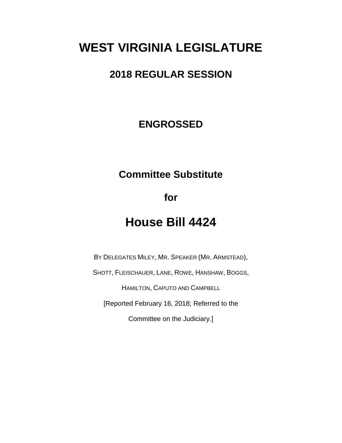# **WEST VIRGINIA LEGISLATURE**

#### **2018 REGULAR SESSION**

#### **ENGROSSED**

### **Committee Substitute**

**for**

# **House Bill 4424**

BY DELEGATES MILEY, MR. SPEAKER (MR. ARMSTEAD),

SHOTT, FLEISCHAUER, LANE, ROWE, HANSHAW, BOGGS,

HAMILTON, CAPUTO AND CAMPBELL

[Reported February 16, 2018; Referred to the

Committee on the Judiciary.]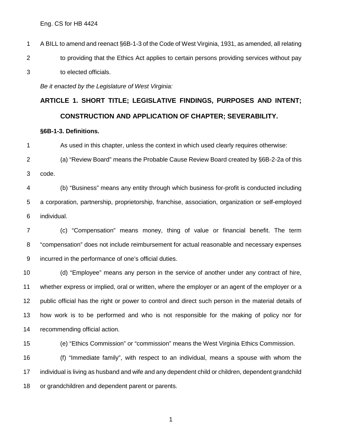A BILL to amend and reenact §6B-1-3 of the Code of West Virginia, 1931, as amended, all relating 2 to providing that the Ethics Act applies to certain persons providing services without pay to elected officials.

*Be it enacted by the Legislature of West Virginia:*

# **ARTICLE 1. SHORT TITLE; LEGISLATIVE FINDINGS, PURPOSES AND INTENT; CONSTRUCTION AND APPLICATION OF CHAPTER; SEVERABILITY.**

#### **§6B-1-3. Definitions.**

As used in this chapter, unless the context in which used clearly requires otherwise:

 (a) "Review Board" means the Probable Cause Review Board created by §6B-2-2a of this code.

 (b) "Business" means any entity through which business for-profit is conducted including a corporation, partnership, proprietorship, franchise, association, organization or self-employed individual.

 (c) "Compensation" means money, thing of value or financial benefit. The term "compensation" does not include reimbursement for actual reasonable and necessary expenses incurred in the performance of one's official duties.

 (d) "Employee" means any person in the service of another under any contract of hire, whether express or implied, oral or written, where the employer or an agent of the employer or a public official has the right or power to control and direct such person in the material details of how work is to be performed and who is not responsible for the making of policy nor for recommending official action.

(e) "Ethics Commission" or "commission" means the West Virginia Ethics Commission.

 (f) "Immediate family", with respect to an individual, means a spouse with whom the individual is living as husband and wife and any dependent child or children, dependent grandchild 18 or grandchildren and dependent parent or parents.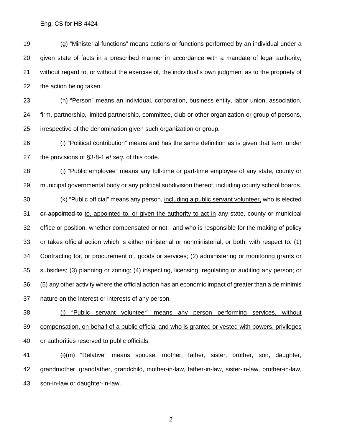(g) "Ministerial functions" means actions or functions performed by an individual under a given state of facts in a prescribed manner in accordance with a mandate of legal authority, without regard to, or without the exercise of, the individual's own judgment as to the propriety of the action being taken.

 (h) "Person" means an individual, corporation, business entity, labor union, association, firm, partnership, limited partnership, committee, club or other organization or group of persons, irrespective of the denomination given such organization or group.

 (i) "Political contribution" means and has the same definition as is given that term under the provisions of §3-8-1 *et seq.* of this code.

 (j) "Public employee" means any full-time or part-time employee of any state, county or municipal governmental body or any political subdivision thereof, including county school boards. (k) "Public official" means any person, including a public servant volunteer, who is elected 31 or appointed to to, appointed to, or given the authority to act in any state, county or municipal 32 office or position, whether compensated or not, and who is responsible for the making of policy or takes official action which is either ministerial or nonministerial, or both, with respect to: (1) Contracting for, or procurement of, goods or services; (2) administering or monitoring grants or subsidies; (3) planning or zoning; (4) inspecting, licensing, regulating or auditing any person; or (5) any other activity where the official action has an economic impact of greater than a de minimis nature on the interest or interests of any person.

 (l) "Public servant volunteer" means any person performing services, without compensation, on behalf of a public official and who is granted or vested with powers, privileges 40 or authorities reserved to public officials.

41 (H(m) "Relative" means spouse, mother, father, sister, brother, son, daughter, grandmother, grandfather, grandchild, mother-in-law, father-in-law, sister-in-law, brother-in-law, son-in-law or daughter-in-law.